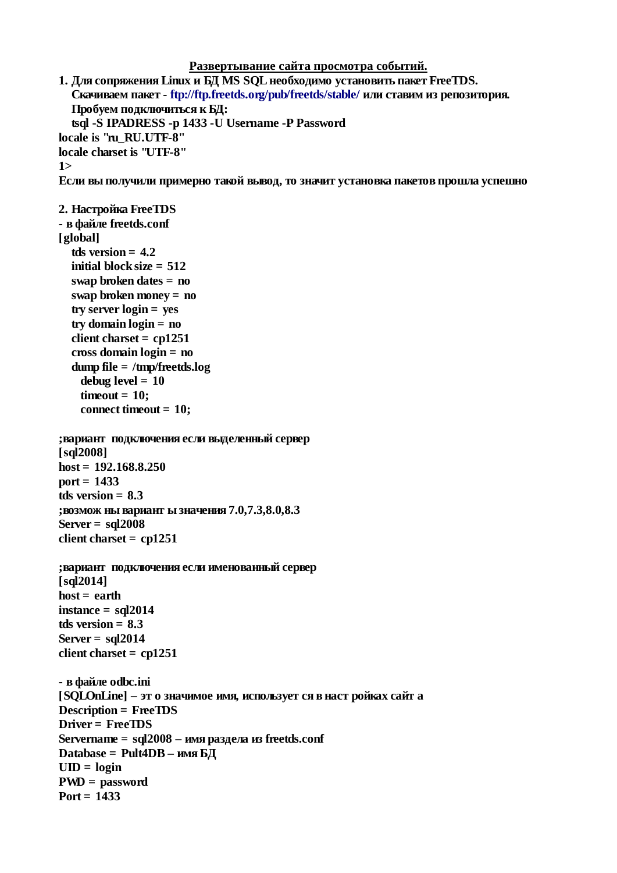```
Развертывание сайта просмотра событий.
```

```
1. Для сопряжения Linux и БД MS SQL необходимо установить пакет FreeTDS.
  Скачиваем пакет - ftp://ftp.freetds.org/pub/freetds/stable/ или ставим из репозитория.
  Пробуем подключиться к БД:
  tsql -S IPADRESS -p 1433 -U Username -P Password
locale is "ru RU.UTF-8"
locale charset is "UTF-8"
1\geqЕсли вы получили примерно такой вывод, то значит установка пакетов прошла успешно
2. Настройка FreeTDS
- в файле freetds.conf
[global]
  tds version = 4.2initial block size = 512swap broken dates = no
  swap broken money = no
  try server login = yestry domain login = noclient charset = cp1251cross domain login = nodump file = /tmp/freetds.logdebug level = 10
    timeout = 10:
    connect timeout = 10;
; вариант подключения если выделенный сервер
[sql2008]
host = 192.168.8.250port = 1433tds version = 8.3; возмож ны вариант ы значения 7.0,7.3,8.0,8.3
Server = \text{sq} 2008
client charset = cp1251; вариант подключения если именованный сервер
[sql2014]host = earthinstance = <math>sgl2014</math>tds version = 8.3Server = \text{sq} 2014
client charset = cp1251- в файле odbc.ini
[SQLOnLine] - эт о значимое имя, использует ся в наст ройках сайт а
Description = FreeTDS
Driver = FreeTDS
Servername = sql2008 - имя раздела из freetds.conf
Database = Pult4DB - имя БД
UID = loginPWD = password
Port = 1433
```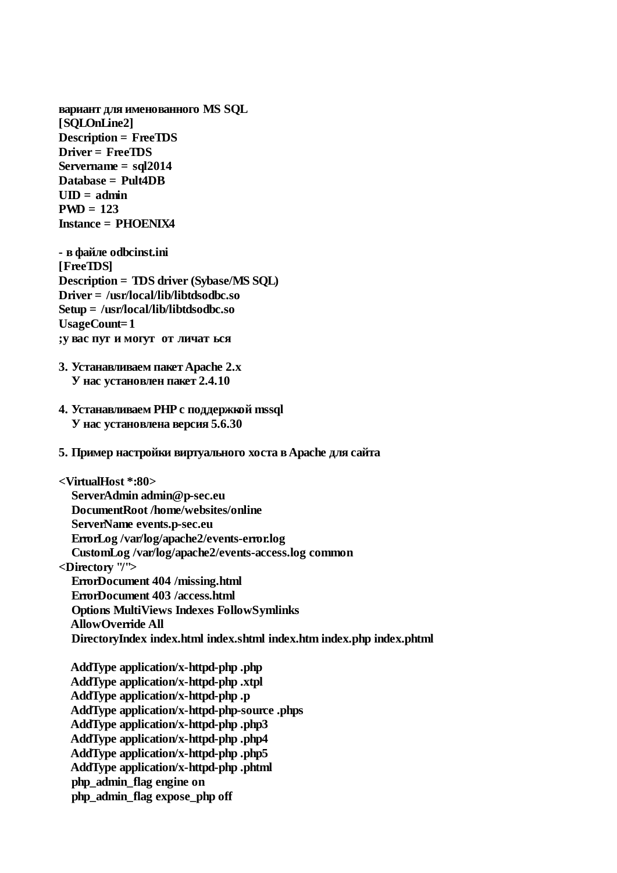вариант для именованного MS SQL [SQLOnLine2] **Description = FreeTDS** Driver = FreeTDS Servername =  $sal2014$ Database = Pult4DB  $UID = admin$  $PWD = 123$ **Instance = PHOENIX4** 

- в файле odbcinst.ini [FreeTDS] **Description = TDS driver (Sybase/MS SQL)** Driver = /usr/local/lib/libtdsodbc.so Setup =  $/$ usr/local/lib/libtdsodbc.so **UsageCount=1** ; у вас пут и могут от личат ься

- 3. Устанавливаем пакет Apache 2.x У нас установлен пакет 2.4.10
- 4. Устанавливаем PHP с поддержкой mssql У нас установлена версия 5.6.30
- 5. Пример настройки виртуального хоста в Apache для сайта

<VirtualHost \*:80> ServerAdmin admin@p-sec.eu DocumentRoot/home/websites/online ServerName events.p-sec.eu ErrorLog/var/log/apache2/events-error.log CustomLog/var/log/apache2/events-access.log common <Directory "/"> **ErrorDocument 404 /missing.html ErrorDocument 403 /access.html Options MultiViews Indexes FollowSymlinks AllowOverride All** DirectoryIndex index.html index.shtml index.htm index.php index.phtml

AddType application/x-httpd-php .php AddType application/x-httpd-php .xtpl AddType application/x-httpd-php.p AddType application/x-httpd-php-source .phps AddType application/x-httpd-php .php3 AddType application/x-httpd-php .php4 AddType application/x-httpd-php .php5 AddType application/x-httpd-php .phtml php admin flag engine on php\_admin\_flag expose\_php off